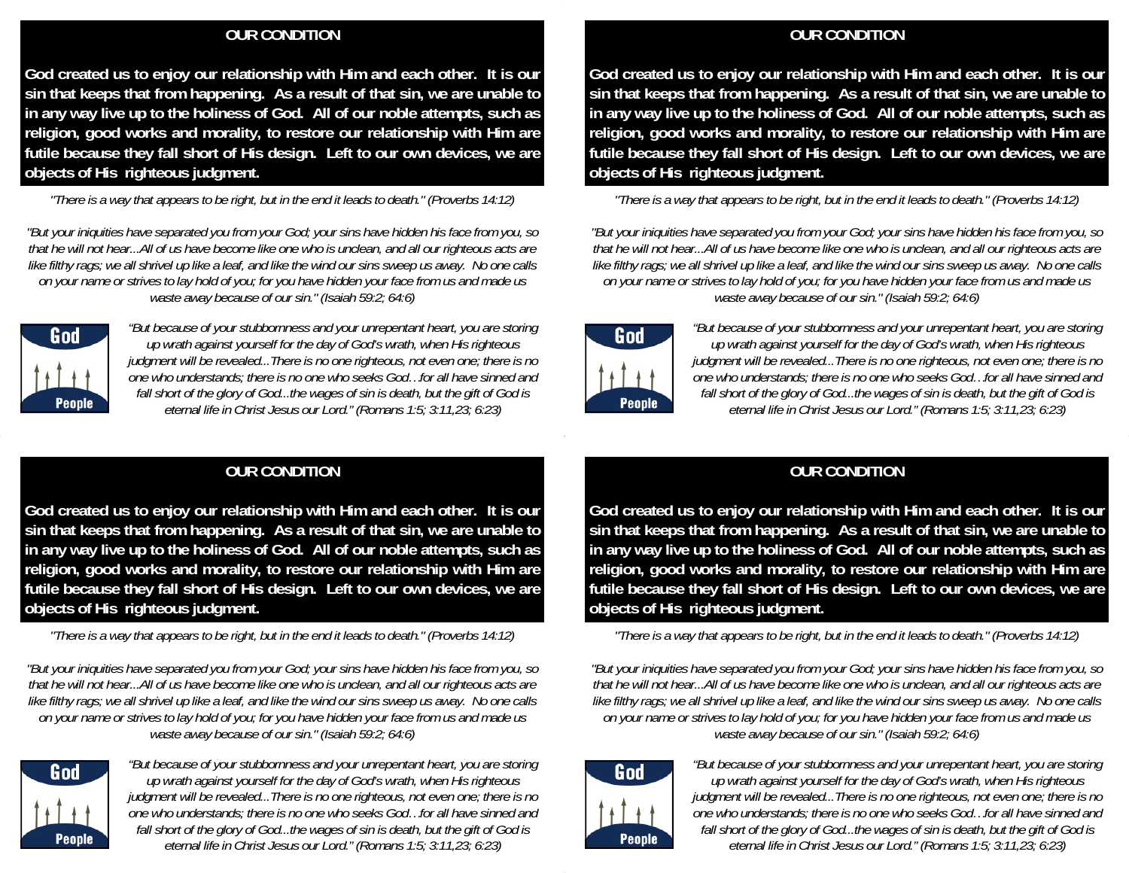## **OUR CONDITION**

**God created us to enjoy our relationship with Him and each other. It is our sin that keeps that from happening. As a result of that sin, we are unable to in any way live up to the holiness of God. All of our noble attempts, such as religion, good works and morality, to restore our relationship with Him are futile because they fall short of His design. Left to our own devices, we are objects of His righteous judgment.** 

*"There is a way that appears to be right, but in the end it leads to death." (Proverbs 14:12)* 

*"But your iniquities have separated you from your God; your sins have hidden his face from you, so that he will not hear...All of us have become like one who is unclean, and all our righteous acts are like filthy rags; we all shrivel up like a leaf, and like the wind our sins sweep us away. No one calls on your name or strives to lay hold of you; for you have hidden your face from us and made us waste away because of our sin." (Isaiah 59:2; 64:6)* 



*"But because of your stubbornness and your unrepentant heart, you are storing up wrath against yourself for the day of God's wrath, when His righteous judgment will be revealed...There is no one righteous, not even one; there is no one who understands; there is no one who seeks God…for all have sinned and fall short of the glory of God...the wages of sin is death, but the gift of God is eternal life in Christ Jesus our Lord." (Romans 1:5; 3:11,23; 6:23)* 

# **OUR CONDITION**

**God created us to enjoy our relationship with Him and each other. It is our sin that keeps that from happening. As a result of that sin, we are unable to in any way live up to the holiness of God. All of our noble attempts, such as religion, good works and morality, to restore our relationship with Him are futile because they fall short of His design. Left to our own devices, we are objects of His righteous judgment.** 

*"There is a way that appears to be right, but in the end it leads to death." (Proverbs 14:12)* 

*"But your iniquities have separated you from your God; your sins have hidden his face from you, so that he will not hear...All of us have become like one who is unclean, and all our righteous acts are like filthy rags; we all shrivel up like a leaf, and like the wind our sins sweep us away. No one calls on your name or strives to lay hold of you; for you have hidden your face from us and made us waste away because of our sin." (Isaiah 59:2; 64:6)* 



*"But because of your stubbornness and your unrepentant heart, you are storing up wrath against yourself for the day of God's wrath, when His righteous judgment will be revealed...There is no one righteous, not even one; there is no one who understands; there is no one who seeks God…for all have sinned and fall short of the glory of God...the wages of sin is death, but the gift of God is eternal life in Christ Jesus our Lord." (Romans 1:5; 3:11,23; 6:23)* 

### **OUR CONDITION**

**God created us to enjoy our relationship with Him and each other. It is our sin that keeps that from happening. As a result of that sin, we are unable to in any way live up to the holiness of God. All of our noble attempts, such as religion, good works and morality, to restore our relationship with Him are futile because they fall short of His design. Left to our own devices, we are objects of His righteous judgment.** 

*"There is a way that appears to be right, but in the end it leads to death." (Proverbs 14:12)* 

*"But your iniquities have separated you from your God; your sins have hidden his face from you, so that he will not hear...All of us have become like one who is unclean, and all our righteous acts are like filthy rags; we all shrivel up like a leaf, and like the wind our sins sweep us away. No one calls on your name or strives to lay hold of you; for you have hidden your face from us and made us waste away because of our sin." (Isaiah 59:2; 64:6)* 



*"But because of your stubbornness and your unrepentant heart, you are storing up wrath against yourself for the day of God's wrath, when His righteous judgment will be revealed...There is no one righteous, not even one; there is no one who understands; there is no one who seeks God…for all have sinned and fall short of the glory of God...the wages of sin is death, but the gift of God is eternal life in Christ Jesus our Lord." (Romans 1:5; 3:11,23; 6:23)* 

## **OUR CONDITION**

**God created us to enjoy our relationship with Him and each other. It is our sin that keeps that from happening. As a result of that sin, we are unable to in any way live up to the holiness of God. All of our noble attempts, such as religion, good works and morality, to restore our relationship with Him are futile because they fall short of His design. Left to our own devices, we are objects of His righteous judgment.** 

*"There is a way that appears to be right, but in the end it leads to death." (Proverbs 14:12)* 

*"But your iniquities have separated you from your God; your sins have hidden his face from you, so that he will not hear...All of us have become like one who is unclean, and all our righteous acts are like filthy rags; we all shrivel up like a leaf, and like the wind our sins sweep us away. No one calls on your name or strives to lay hold of you; for you have hidden your face from us and made us waste away because of our sin." (Isaiah 59:2; 64:6)* 



*"But because of your stubbornness and your unrepentant heart, you are storing up wrath against yourself for the day of God's wrath, when His righteous judgment will be revealed...There is no one righteous, not even one; there is no one who understands; there is no one who seeks God…for all have sinned and fall short of the glory of God...the wages of sin is death, but the gift of God is eternal life in Christ Jesus our Lord." (Romans 1:5; 3:11,23; 6:23)*